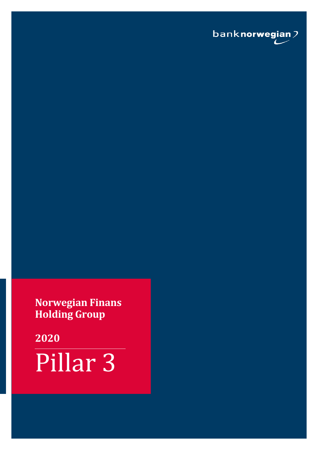

**Norwegian Finans Holding Group**

**2020** Pillar 3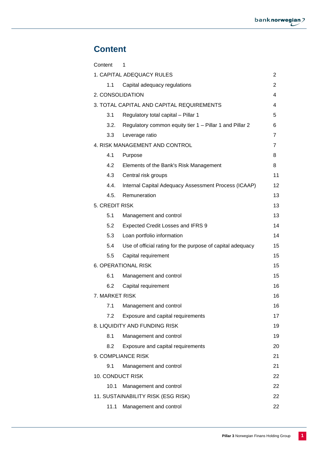# **Content**

<span id="page-1-0"></span>

| Content          | 1                                                          |                |
|------------------|------------------------------------------------------------|----------------|
|                  | 1. CAPITAL ADEQUACY RULES                                  | 2              |
| 1.1              | Capital adequacy regulations                               | 2              |
| 2. CONSOLIDATION |                                                            | 4              |
|                  | 3. TOTAL CAPITAL AND CAPITAL REQUIREMENTS                  | 4              |
| 3.1              | Regulatory total capital - Pillar 1                        | 5              |
| 3.2.             | Regulatory common equity tier 1 - Pillar 1 and Pillar 2    | 6              |
| 3.3              | Leverage ratio                                             | $\overline{7}$ |
|                  | 4. RISK MANAGEMENT AND CONTROL                             | $\overline{7}$ |
| 4.1              | Purpose                                                    | 8              |
| 4.2              | Elements of the Bank's Risk Management                     | 8              |
| 4.3              | Central risk groups                                        | 11             |
| 4.4.             | Internal Capital Adequacy Assessment Process (ICAAP)       | 12             |
| 4.5.             | Remuneration                                               | 13             |
| 5. CREDIT RISK   |                                                            | 13             |
| 5.1              | Management and control                                     | 13             |
| 5.2              | Expected Credit Losses and IFRS 9                          | 14             |
| 5.3              | Loan portfolio information                                 | 14             |
| 5.4              | Use of official rating for the purpose of capital adequacy | 15             |
| 5.5              | Capital requirement                                        | 15             |
|                  | <b>6. OPERATIONAL RISK</b>                                 | 15             |
| 6.1              | Management and control                                     | 15             |
| 6.2              | Capital requirement                                        | 16             |
| 7. MARKET RISK   |                                                            | 16             |
| 7.1              | Management and control                                     | 16             |
| 7.2              | Exposure and capital requirements                          | 17             |
|                  | 8. LIQUIDITY AND FUNDING RISK                              | 19             |
| 8.1              | Management and control                                     | 19             |
| 8.2              | Exposure and capital requirements                          | 20             |
|                  | 9. COMPLIANCE RISK                                         | 21             |
| 9.1              | Management and control                                     | 21             |
| 10. CONDUCT RISK |                                                            | 22             |
| 10.1             | Management and control                                     | 22             |
|                  | 11. SUSTAINABILITY RISK (ESG RISK)                         | 22             |
| 11.1             | Management and control                                     | 22             |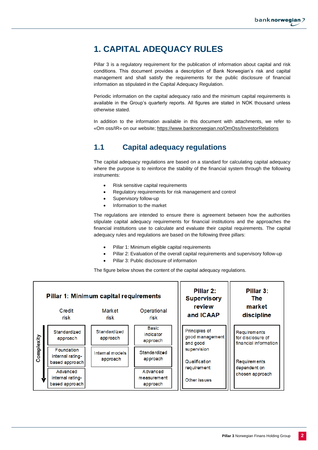# <span id="page-2-0"></span>**1. CAPITAL ADEQUACY RULES**

Pillar 3 is a regulatory requirement for the publication of information about capital and risk conditions. This document provides a description of Bank Norwegian's risk and capital management and shall satisfy the requirements for the public disclosure of financial information as stipulated in the Capital Adequacy Regulation.

Periodic information on the capital adequacy ratio and the minimum capital requirements is available in the Group's quarterly reports. All figures are stated in NOK thousand unless otherwise stated.

In addition to the information available in this document with attachments, we refer to «Om oss/IR» on our website;<https://www.banknorwegian.no/OmOss/InvestorRelations>

## <span id="page-2-1"></span>**1.1 Capital adequacy regulations**

The capital adequacy regulations are based on a standard for calculating capital adequacy where the purpose is to reinforce the stability of the financial system through the following instruments:

- Risk sensitive capital requirements
- Regulatory requirements for risk management and control
- Supervisory follow-up
- Information to the market

The regulations are intended to ensure there is agreement between how the authorities stipulate capital adequacy requirements for financial institutions and the approaches the financial institutions use to calculate and evaluate their capital requirements. The capital adequacy rules and regulations are based on the following three pillars:

- Pillar 1: Minimum eligible capital requirements
- Pillar 2: Evaluation of the overall capital requirements and supervisory follow-up
- Pillar 3: Public disclosure of information

The figure below shows the content of the capital adequacy regulations.

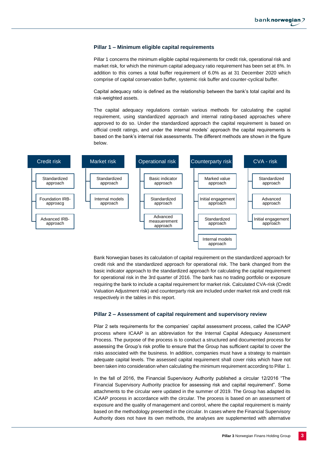#### **Pillar 1 – Minimum eligible capital requirements**

Pillar 1 concerns the minimum eligible capital requirements for credit risk, operational risk and market risk, for which the minimum capital adequacy ratio requirement has been set at 8%. In addition to this comes a total buffer requirement of 6.0% as at 31 December 2020 which comprise of capital conservation buffer, systemic risk buffer and counter-cyclical buffer.

Capital adequacy ratio is defined as the relationship between the bank's total capital and its risk-weighted assets.

The capital adequacy regulations contain various methods for calculating the capital requirement, using standardized approach and internal rating-based approaches where approved to do so. Under the standardized approach the capital requirement is based on official credit ratings, and under the internal models' approach the capital requirements is based on the bank's internal risk assessments. The different methods are shown in the figure below.



Bank Norwegian bases its calculation of capital requirement on the standardized approach for credit risk and the standardized approach for operational risk. The bank changed from the basic indicator approach to the standardized approach for calculating the capital requirement for operational risk in the 3rd quarter of 2016. The bank has no trading portfolio or exposure requiring the bank to include a capital requirement for market risk. Calculated CVA-risk (Credit Valuation Adjustment risk) and counterparty risk are included under market risk and credit risk respectively in the tables in this report.

#### **Pillar 2 – Assessment of capital requirement and supervisory review**

Pilar 2 sets requirements for the companies' capital assessment process, called the ICAAP process where ICAAP is an abbreviation for the Internal Capital Adequacy Assessment Process. The purpose of the process is to conduct a structured and documented process for assessing the Group's risk profile to ensure that the Group has sufficient capital to cover the risks associated with the business. In addition, companies must have a strategy to maintain adequate capital levels. The assessed capital requirement shall cover risks which have not been taken into consideration when calculating the minimum requirement according to Pillar 1.

In the fall of 2016, the Financial Supervisory Authority published a circular 12/2016 "The Financial Supervisory Authority practice for assessing risk and capital requirement". Some attachments to the circular were updated in the summer of 2019. The Group has adapted its ICAAP process in accordance with the circular. The process is based on an assessment of exposure and the quality of management and control, where the capital requirement is mainly based on the methodology presented in the circular. In cases where the Financial Supervisory Authority does not have its own methods, the analyses are supplemented with alternative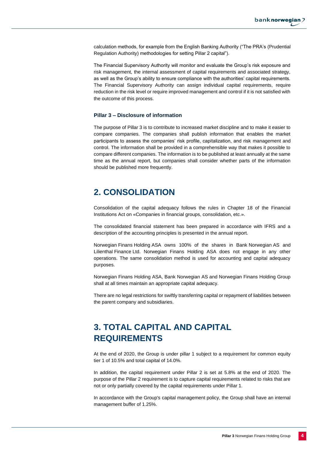calculation methods, for example from the English Banking Authority ("The PRA's (Prudential Regulation Authority) methodologies for setting Pillar 2 capital").

The Financial Supervisory Authority will monitor and evaluate the Group's risk exposure and risk management, the internal assessment of capital requirements and associated strategy, as well as the Group's ability to ensure compliance with the authorities' capital requirements. The Financial Supervisory Authority can assign individual capital requirements, require reduction in the risk level or require improved management and control if it is not satisfied with the outcome of this process.

#### **Pillar 3 – Disclosure of information**

The purpose of Pillar 3 is to contribute to increased market discipline and to make it easier to compare companies. The companies shall publish information that enables the market participants to assess the companies' risk profile, capitalization, and risk management and control. The information shall be provided in a comprehensible way that makes it possible to compare different companies. The information is to be published at least annually at the same time as the annual report, but companies shall consider whether parts of the information should be published more frequently.

## <span id="page-4-0"></span>**2. CONSOLIDATION**

Consolidation of the capital adequacy follows the rules in Chapter 18 of the Financial Institutions Act on «Companies in financial groups, consolidation, etc.».

The consolidated financial statement has been prepared in accordance with IFRS and a description of the accounting principles is presented in the annual report.

Norwegian Finans Holding ASA owns 100% of the shares in Bank Norwegian AS and Lilienthal Finance Ltd. Norwegian Finans Holding ASA does not engage in any other operations. The same consolidation method is used for accounting and capital adequacy purposes.

Norwegian Finans Holding ASA, Bank Norwegian AS and Norwegian Finans Holding Group shall at all times maintain an appropriate capital adequacy.

There are no legal restrictions for swiftly transferring capital or repayment of liabilities between the parent company and subsidiaries.

# <span id="page-4-1"></span>**3. TOTAL CAPITAL AND CAPITAL REQUIREMENTS**

At the end of 2020, the Group is under pillar 1 subject to a requirement for common equity tier 1 of 10.5% and total capital of 14.0%.

In addition, the capital requirement under Pillar 2 is set at 5.8% at the end of 2020. The purpose of the Pillar 2 requirement is to capture capital requirements related to risks that are not or only partially covered by the capital requirements under Pillar 1.

In accordance with the Group's capital management policy, the Group shall have an internal management buffer of 1.25%.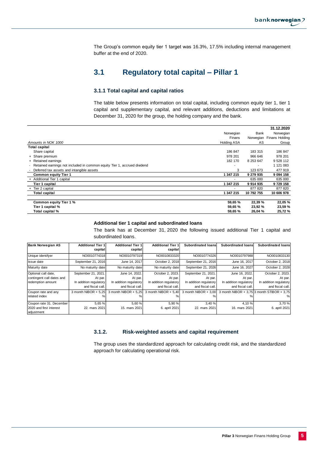The Group's common equity tier 1 target was 16.3%, 17.5% including internal management buffer at the end of 2020.

## **3.1 Regulatory total capital – Pillar 1**

#### **3.1.1 Total capital and capital ratios**

The table below presents information on total capital, including common equity tier 1, tier 1 capital and supplementary capital, and relevant additions, deductions and limitations at December 31, 2020 for the group, the holding company and the bank.

<span id="page-5-0"></span>

|                                                                            |                    |            | 31.12.2020               |
|----------------------------------------------------------------------------|--------------------|------------|--------------------------|
|                                                                            | Norwegian          | Bank       | Norwegian                |
|                                                                            | Finans             |            | Norwegian Finans Holding |
| Amounts in NOK 1000                                                        | <b>Holding ASA</b> | AS         | Group                    |
| <b>Total capital</b>                                                       |                    |            |                          |
| Share capital                                                              | 186 847            | 183 315    | 186 847                  |
| + Share premium                                                            | 978 201            | 966 646    | 978 201                  |
| + Retained earnings                                                        | 182 170            | 8 253 647  | 9 5 28 11 2              |
| - Retained earnings not included in common equity Tier 1, accrued dividend |                    |            | 1 121 083                |
| Deferred tax assets and intangible assets                                  | 3                  | 123 673    | 477 919                  |
| <b>Common equity Tier 1</b>                                                | 1 347 215          | 9 279 935  | 9 0 9 4 1 5 8            |
| + Additional Tier 1 capital                                                |                    | 635 000    | 635 000                  |
| Tier 1 capital                                                             | 1 347 215          | 9914935    | 9729158                  |
| + Tier 2 capital                                                           |                    | 877 820    | 877 820                  |
| <b>Total capital</b>                                                       | 1 347 215          | 10 792 755 | 10 606 978               |
| Common equity Tier 1 %                                                     | 59,65 %            | 22,39 %    | 22,05 %                  |
| Tier 1 capital %                                                           | 59,65 %            | 23,92 %    | 23,59 %                  |
| Total capital %                                                            | 59,65 %            | 26,04 %    | 25,72 %                  |

#### **Additional tier 1 capital and subordinated loans**

The bank has at December 31, 2020 the following issued additional Tier 1 capital and subordinated loans.

| <b>Bank Norwegian AS</b>              | <b>Additional Tier 1</b> | <b>Additional Tier 1</b> | <b>Additional Tier 1</b> | <b>Subordinated loans</b> | Subordinated loans     | <b>Subordinated loans</b>                  |
|---------------------------------------|--------------------------|--------------------------|--------------------------|---------------------------|------------------------|--------------------------------------------|
|                                       | capital                  | capital                  | capital                  |                           |                        |                                            |
| Unique identifyer                     | NO0010774318             | NO0010797319             | NO0010833320             | NO0010774326              | NO0010797988           | NO0010833130                               |
| Issue date                            | September 21, 2016       | June 14, 2017            | October 2, 2018          | September 21, 2016        | June 16, 2017          | October 2, 2018                            |
| Maturity date                         | No maturity date         | No maturity date         | No maturity date         | September 21, 2026        | June 16, 2027          | October 2, 2028                            |
| Optional call date,                   | September 21, 2021.      | June 14, 2022.           | October 2, 2023.         | September 21, 2021.       | June 16, 2022.         | October 2, 2023.                           |
| contingent call dates and             | At par.                  | At par.                  | At par.                  | At par.                   | At par.                | At par.                                    |
| redemption amount                     | In addition regulatory   | In addition regulatory   | In addition regulatory   | In addition regulatory    | In addition regulatory | In addition regulatory                     |
|                                       | and fiscal call.         | and fiscal call.         | and fiscal call.         | and fiscal call.          | and fiscal call.       | and fiscal call.                           |
| Coupon rate and any                   | 3 month NIBOR $+ 5.25$   | 3 month NIBOR + 5.25     | 3 month NIBOR + 5.40     | 3 month NIBOR + $3,00$    |                        | 3 month NIBOR + 3.75 3 month STIBOR + 3.75 |
| related index                         | ℅                        |                          |                          |                           |                        | $\%$                                       |
| Coupon rate 31. December              | 5.65 %                   | 5.60 %                   | 5.90 %                   | 3.40%                     | 4.10 %                 | 3.70%                                      |
| 2020 and first interest<br>adjustment | 22. mars 2021            | 15. mars 2021            | 6. april 2021            | 22. mars 2021             | 16. mars 2021          | 6. april 2021                              |

#### **3.1.2. Risk-weighted assets and capital requirement**

The group uses the standardized approach for calculating credit risk, and the standardized approach for calculating operational risk.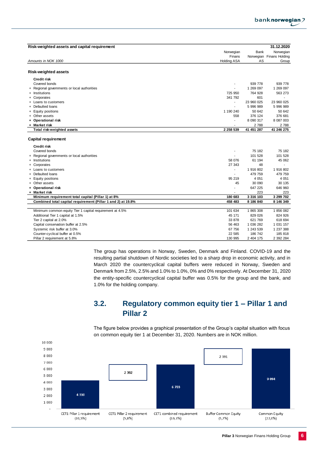

| Risk-weighted assets and capital requirement                 |                    |             | 31.12.2020               |
|--------------------------------------------------------------|--------------------|-------------|--------------------------|
|                                                              | Norwegian          | <b>Bank</b> | Norwegian                |
|                                                              | Finans             |             | Norwegian Finans Holding |
| Amounts in NOK 1000                                          | <b>Holding ASA</b> | AS          | Group                    |
|                                                              |                    |             |                          |
| <b>Risk-weighted assets</b>                                  |                    |             |                          |
| <b>Credit risk</b>                                           |                    |             |                          |
| Covered bonds                                                |                    | 939 778     | 939 778                  |
| + Regional governments or local authorities                  | ÷                  | 1 269 097   | 1 269 097                |
| + Institutions                                               | 725 950            | 764 928     | 563 273                  |
| + Corporates                                                 | 341 792            | 601         | $\sim$                   |
| + Loans to customers                                         | ٠                  | 23 960 025  | 23 960 025               |
| + Defaulted loans                                            | $\blacksquare$     | 5 996 989   | 5 996 989                |
| + Equity positions                                           | 1 190 240          | 50 642      | 50 642                   |
| + Other assets                                               | 558                | 376 124     | 376 681                  |
| + Operational risk                                           | ٠                  | 8 090 317   | 8 087 003                |
| + Market risk                                                |                    | 2788        | 2 7 8 8                  |
| Total risk-weighted assets                                   | 2 258 539          | 41 451 287  | 41 246 275               |
| <b>Capital requirement</b>                                   |                    |             |                          |
| Credit risk                                                  |                    |             |                          |
| Covered bonds                                                |                    | 75 182      | 75 182                   |
| + Regional governments or local authorities                  | $\blacksquare$     | 101 528     | 101 528                  |
| + Institutions                                               | 58 076             | 61 194      | 45 062                   |
| + Corporates                                                 | 27 343             | 48          | $\blacksquare$           |
| + Loans to customers                                         | ÷,                 | 1916802     | 1 916 802                |
| + Defaulted loans                                            | $\blacksquare$     | 479 759     | 479 759                  |
| + Equity positions                                           | 95 219             | 4 0 5 1     | 4 0 51                   |
| + Other assets                                               | 45                 | 30 090      | 30 135                   |
| + Operational risk                                           | ä,                 | 647 225     | 646 960                  |
| + Market risk                                                | $\blacksquare$     | 223         | 223                      |
| Minimum requirement total capital (Pillar 1) at 8%           | 180 683            | 3 316 103   | 3 299 702                |
| Combined total capital requirement (Pillar 1 and 2) at 19.8% | 458 483            | 8 186 840   | 8 146 349                |
|                                                              |                    |             |                          |
| Minimum common equity Tier 1 capital requirement at 4.5%     | 101 634            | 1865308     | 1856082                  |
| Additional Tier 1 capital at 1.5%                            | 45 171             | 829 026     | 824 926                  |
| Tier 2 capital at 2.0%                                       | 33 878             | 621 769     | 618 694                  |
| Capital conservation buffer at 2.5%                          | 56 463             | 1 036 282   | 1 031 157                |
| Systemic risk buffer at 3.0%                                 | 67 756             | 1 243 539   | 1 237 388                |
| Counter-cyclical buffer at 0.5%                              | 22 585             | 186 742     | 185 818                  |
| Pillar 2 requirement at 5.8%                                 | 130 995            | 2 404 175   | 2 392 284                |

The group has operations in Norway, Sweden, Denmark and Finland. COVID-19 and the resulting partial shutdown of Nordic societies led to a sharp drop in economic activity, and in March 2020 the countercyclical capital buffers were reduced in Norway, Sweden and Denmark from 2.5%, 2.5% and 1.0% to 1.0%, 0% and 0% respectively. At December 31, 2020 the entity-specific countercyclical capital buffer was 0.5% for the group and the bank, and 1.0% for the holding company.

## **3.2. Regulatory common equity tier 1 – Pillar 1 and Pillar 2**

The figure below provides a graphical presentation of the Group's capital situation with focus on common equity tier 1 at December 31, 2020. Numbers are in NOK million.

<span id="page-6-0"></span>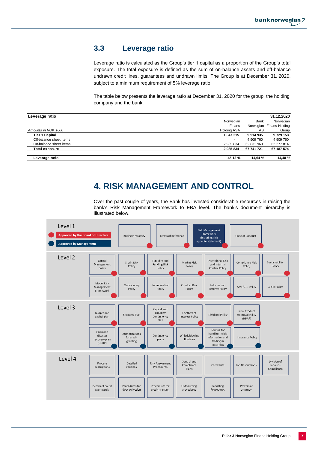## <span id="page-7-0"></span>**3.3 Leverage ratio**

Leverage ratio is calculated as the Group's tier 1 capital as a proportion of the Group's total exposure. The total exposure is defined as the sum of on-balance assets and off-balance undrawn credit lines, guarantees and undrawn limits. The Group is at December 31, 2020, subject to a minimum requirement of 5% leverage ratio.

The table below presents the leverage ratio at December 31, 2020 for the group, the holding company and the bank.

| Leverage ratio           |                    |            | 31.12.2020               |
|--------------------------|--------------------|------------|--------------------------|
|                          | Norwegian          | Bank       | Norwegian                |
|                          | Finans             |            | Norwegian Finans Holding |
| Amounts in NOK 1000      | <b>Holding ASA</b> | AS         | Group                    |
| <b>Tier 1 Capital</b>    | 1 347 215          | 9914935    | 9 729 158                |
| Off-balance sheet items  |                    | 4 909 760  | 4 909 760                |
| + On-balance sheet items | 2 985 834          | 62 831 960 | 62 277 814               |
| <b>Total exposure</b>    | 2 985 834          | 67 741 721 | 67 187 574               |
| Leverage ratio           | 45,12 %            | 14,64 %    | 14,48 %                  |

## **4. RISK MANAGEMENT AND CONTROL**

Over the past couple of years, the Bank has invested considerable resources in raising the bank's Risk Management Framework to EBA level. The bank's document hierarchy is illustrated below.

<span id="page-7-1"></span>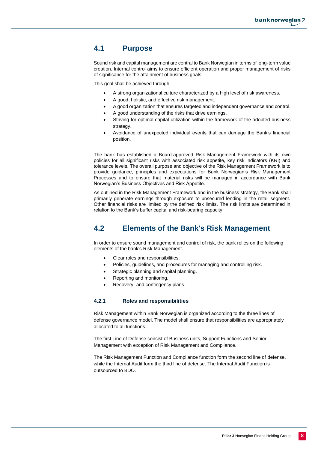### <span id="page-8-0"></span>**4.1 Purpose**

Sound risk and capital management are central to Bank Norwegian in terms of long-term value creation. Internal control aims to ensure efficient operation and proper management of risks of significance for the attainment of business goals.

This goal shall be achieved through:

- A strong organizational culture characterized by a high level of risk awareness.
- A good, holistic, and effective risk management.
- A good organization that ensures targeted and independent governance and control.
- A good understanding of the risks that drive earnings.
- Striving for optimal capital utilization within the framework of the adopted business strategy.
- Avoidance of unexpected individual events that can damage the Bank's financial position.

The bank has established a Board-approved Risk Management Framework with its own policies for all significant risks with associated risk appetite, key risk indicators (KRI) and tolerance levels. The overall purpose and objective of the Risk Management Framework is to provide guidance, principles and expectations for Bank Norwegian's Risk Management Processes and to ensure that material risks will be managed in accordance with Bank Norwegian's Business Objectives and Risk Appetite.

As outlined in the Risk Management Framework and in the business strategy, the Bank shall primarily generate earnings through exposure to unsecured lending in the retail segment. Other financial risks are limited by the defined risk limits. The risk limits are determined in relation to the Bank's buffer capital and risk-bearing capacity.

### <span id="page-8-1"></span>**4.2 Elements of the Bank's Risk Management**

In order to ensure sound management and control of risk, the bank relies on the following elements of the bank's Risk Management.

- Clear roles and responsibilities.
- Policies, guidelines, and procedures for managing and controlling risk.
- Strategic planning and capital planning.
- Reporting and monitoring.
- Recovery- and contingency plans.

#### **4.2.1 Roles and responsibilities**

Risk Management within Bank Norwegian is organized according to the three lines of defense governance model. The model shall ensure that responsibilities are appropriately allocated to all functions.

The first Line of Defense consist of Business units, Support Functions and Senior Management with exception of Risk Management and Compliance.

The Risk Management Function and Compliance function form the second line of defense, while the Internal Audit form the third line of defense. The Internal Audit Function is outsourced to BDO.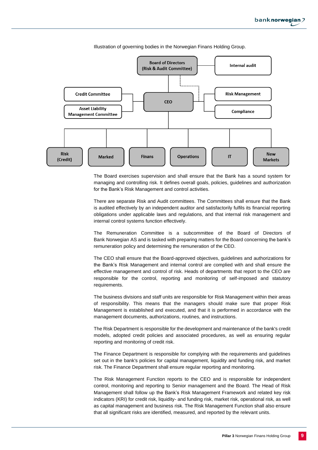

Illustration of governing bodies in the Norwegian Finans Holding Group.

The Board exercises supervision and shall ensure that the Bank has a sound system for managing and controlling risk. It defines overall goals, policies, guidelines and authorization for the Bank's Risk Management and control activities.

There are separate Risk and Audit committees. The Committees shall ensure that the Bank is audited effectively by an independent auditor and satisfactorily fulfils its financial reporting obligations under applicable laws and regulations, and that internal risk management and internal control systems function effectively.

The Remuneration Committee is a subcommittee of the Board of Directors of Bank Norwegian AS and is tasked with preparing matters for the Board concerning the bank's remuneration policy and determining the remuneration of the CEO.

The CEO shall ensure that the Board-approved objectives, guidelines and authorizations for the Bank's Risk Management and internal control are complied with and shall ensure the effective management and control of risk. Heads of departments that report to the CEO are responsible for the control, reporting and monitoring of self-imposed and statutory requirements.

The business divisions and staff units are responsible for Risk Management within their areas of responsibility. This means that the managers should make sure that proper Risk Management is established and executed, and that it is performed in accordance with the management documents, authorizations, routines, and instructions.

The Risk Department is responsible for the development and maintenance of the bank's credit models, adopted credit policies and associated procedures, as well as ensuring regular reporting and monitoring of credit risk.

The Finance Department is responsible for complying with the requirements and guidelines set out in the bank's policies for capital management, liquidity and funding risk, and market risk. The Finance Department shall ensure regular reporting and monitoring.

The Risk Management Function reports to the CEO and is responsible for independent control, monitoring and reporting to Senior management and the Board. The Head of Risk Management shall follow up the Bank's Risk Management Framework and related key risk indicators (KRI) for credit risk, liquidity- and funding risk, market risk, operational risk, as well as capital management and business risk. The Risk Management Function shall also ensure that all significant risks are identified, measured, and reported by the relevant units.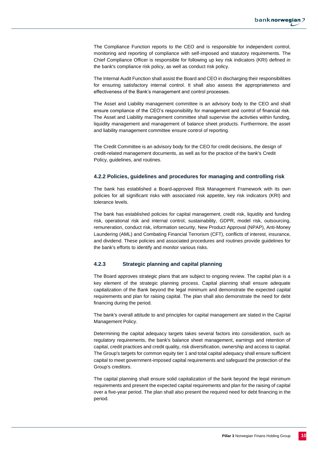The Compliance Function reports to the CEO and is responsible for independent control, monitoring and reporting of compliance with self-imposed and statutory requirements. The Chief Compliance Officer is responsible for following up key risk indicators (KRI) defined in the bank's compliance risk policy, as well as conduct risk policy.

The Internal Audit Function shall assist the Board and CEO in discharging their responsibilities for ensuring satisfactory internal control. It shall also assess the appropriateness and effectiveness of the Bank's management and control processes.

The Asset and Liability management committee is an advisory body to the CEO and shall ensure compliance of the CEO's responsibility for management and control of financial risk. The Asset and Liability management committee shall supervise the activities within funding, liquidity management and management of balance sheet products. Furthermore, the asset and liability management committee ensure control of reporting.

The Credit Committee is an advisory body for the CEO for credit decisions, the design of credit-related management documents, as well as for the practice of the bank's Credit Policy, guidelines, and routines.

#### **4.2.2 Policies, guidelines and procedures for managing and controlling risk**

The bank has established a Board-approved Risk Management Framework with its own policies for all significant risks with associated risk appetite, key risk indicators (KRI) and tolerance levels.

The bank has established policies for capital management, credit risk, liquidity and funding risk, operational risk and internal control, sustainability, GDPR, model risk, outsourcing, remuneration, conduct risk, information security, New Product Approval (NPAP), Anti-Money Laundering (AML) and Combating Financial Terrorism (CFT), conflicts of interest, insurance, and dividend. These policies and associated procedures and routines provide guidelines for the bank's efforts to identify and monitor various risks.

#### **4.2.3 Strategic planning and capital planning**

The Board approves strategic plans that are subject to ongoing review. The capital plan is a key element of the strategic planning process. Capital planning shall ensure adequate capitalization of the Bank beyond the legal minimum and demonstrate the expected capital requirements and plan for raising capital. The plan shall also demonstrate the need for debt financing during the period.

The bank's overall attitude to and principles for capital management are stated in the Capital Management Policy.

Determining the capital adequacy targets takes several factors into consideration, such as regulatory requirements, the bank's balance sheet management, earnings and retention of capital, credit practices and credit quality, risk diversification, ownership and access to capital. The Group's targets for common equity tier 1 and total capital adequacy shall ensure sufficient capital to meet government-imposed capital requirements and safeguard the protection of the Group's creditors.

The capital planning shall ensure solid capitalization of the bank beyond the legal minimum requirements and present the expected capital requirements and plan for the raising of capital over a five-year period. The plan shall also present the required need for debt financing in the period.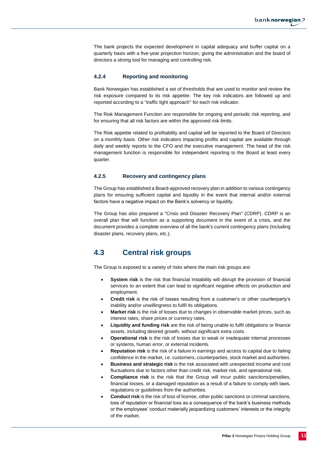The bank projects the expected development in capital adequacy and buffer capital on a quarterly basis with a five-year projection horizon, giving the administration and the board of directors a strong tool for managing and controlling risk.

#### **4.2.4 Reporting and monitoring**

Bank Norwegian has established a set of thresholds that are used to monitor and review the risk exposure compared to its risk appetite. The key risk indicators are followed up and reported according to a "traffic light approach" for each risk indicator.

The Risk Management Function are responsible for ongoing and periodic risk reporting, and for ensuring that all risk factors are within the approved risk limits.

The Risk appetite related to profitability and capital will be reported to the Board of Directors on a monthly basis. Other risk indicators impacting profits and capital are available through daily and weekly reports to the CFO and the executive management. The head of the risk management function is responsible for independent reporting to the Board at least every quarter.

#### **4.2.5 Recovery and contingency plans**

The Group has established a Board-approved recovery plan in addition to various contingency plans for ensuring sufficient capital and liquidity in the event that internal and/or external factors have a negative impact on the Bank's solvency or liquidity.

The Group has also prepared a "Crisis and Disaster Recovery Plan" (CDRP). CDRP is an overall plan that will function as a supporting document in the event of a crisis, and the document provides a complete overview of all the bank's current contingency plans (including disaster plans, recovery plans, etc.).

### <span id="page-11-0"></span>**4.3 Central risk groups**

The Group is exposed to a variety of risks where the main risk groups are:

- **System risk** is the risk that financial instability will disrupt the provision of financial services to an extent that can lead to significant negative effects on production and employment.
- **Credit risk** is the risk of losses resulting from a customer's or other counterparty's inability and/or unwillingness to fulfil its obligations.
- **Market risk** is the risk of losses due to changes in observable market prices, such as interest rates, share prices or currency rates.
- **Liquidity and funding risk** are the risk of being unable to fulfil obligations or finance assets, including desired growth, without significant extra costs.
- **Operational risk** is the risk of losses due to weak or inadequate internal processes or systems, human error, or external incidents.
- **Reputation risk** is the risk of a failure in earnings and access to capital due to failing confidence in the market, i.e. customers, counterparties, stock market and authorities.
- **Business and strategic risk** is the risk associated with unexpected income and cost fluctuations due to factors other than credit risk, market risk, and operational risk.
- **Compliance risk** is the risk that the Group will incur public sanctions/penalties, financial losses, or a damaged reputation as a result of a failure to comply with laws, regulations or guidelines from the authorities.
- **Conduct risk** is the risk of loss of license, other public sanctions or criminal sanctions, loss of reputation or financial loss as a consequence of the bank's business methods or the employees' conduct materially jeopardizing customers' interests or the integrity of the market.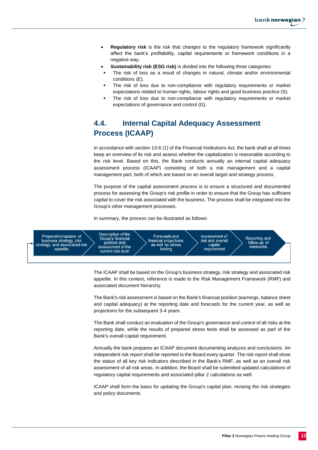

- **Regulatory risk** is the risk that changes to the regulatory framework significantly affect the bank's profitability, capital requirements or framework conditions in a negative way.
- **Sustainability risk (ESG risk)** is divided into the following three categories:
- The risk of loss as a result of changes in natural, climate and/or environmental conditions (E).
- The risk of loss due to non-compliance with regulatory requirements or market expectations related to human rights, labour rights and good business practice (S).
- The risk of loss due to non-compliance with regulatory requirements or market expectations of governance and control (G).

## <span id="page-12-0"></span>**4.4. Internal Capital Adequacy Assessment Process (ICAAP)**

In accordance with section 13-6 (1) of the Financial Institutions Act, the bank shall at all times keep an overview of its risk and assess whether the capitalization is reasonable according to the risk level. Based on this, the Bank conducts annually an internal capital adequacy assessment process (ICAAP) consisting of both a risk management and a capital management part, both of which are based on an overall target and strategy process.

The purpose of the capital assessment process is to ensure a structured and documented process for assessing the Group's risk profile in order to ensure that the Group has sufficient capital to cover the risk associated with the business. The process shall be integrated into the Group's other management processes.

In summary, the process can be illustrated as follows:



The ICAAP shall be based on the Group's business strategy, risk strategy and associated risk appetite. In this context, reference is made to the Risk Management Framework (RMF) and associated document hierarchy.

The Bank's risk assessment is based on the Bank's financial position (earnings, balance sheet and capital adequacy) at the reporting date and forecasts for the current year, as well as projections for the subsequent 3-4 years.

The Bank shall conduct an evaluation of the Group's governance and control of all risks at the reporting date, while the results of prepared stress tests shall be assessed as part of the Bank's overall capital requirement.

Annually the bank prepares an ICAAP document documenting analyzes and conclusions. An independent risk report shall be reported to the Board every quarter. The risk report shall show the status of all key risk indicators described in the Bank's RMF, as well as an overall risk assessment of all risk areas. In addition, the Board shall be submitted updated calculations of regulatory capital requirements and associated pillar 2 calculations as well.

ICAAP shall form the basis for updating the Group's capital plan, revising the risk strategies and policy documents.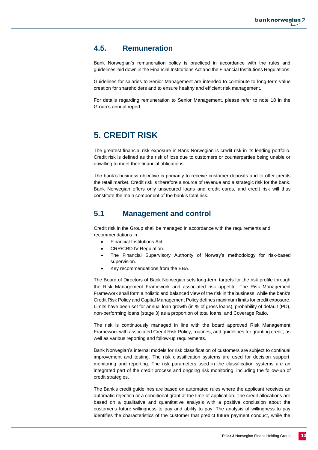### <span id="page-13-0"></span>**4.5. Remuneration**

Bank Norwegian's remuneration policy is practiced in accordance with the rules and guidelines laid down in the Financial Institutions Act and the Financial Institutions Regulations.

Guidelines for salaries to Senior Management are intended to contribute to long-term value creation for shareholders and to ensure healthy and efficient risk management.

For details regarding remuneration to Senior Management, please refer to note 18 in the Group's annual report.

## <span id="page-13-1"></span>**5. CREDIT RISK**

The greatest financial risk exposure in Bank Norwegian is credit risk in its lending portfolio. Credit risk is defined as the risk of loss due to customers or counterparties being unable or unwilling to meet their financial obligations.

The bank's business objective is primarily to receive customer deposits and to offer credits the retail market. Credit risk is therefore a source of revenue and a strategic risk for the bank. Bank Norwegian offers only unsecured loans and credit cards, and credit risk will thus constitute the main component of the bank's total risk.

### <span id="page-13-2"></span>**5.1 Management and control**

Credit risk in the Group shall be managed in accordance with the requirements and recommendations in:

- Financial Institutions Act.
- CRR/CRD IV Regulation.
- The Financial Supervisory Authority of Norway's methodology for risk-based supervision.
- Key recommendations from the EBA.

The Board of Directors of Bank Norwegian sets long-term targets for the risk profile through the Risk Management Framework and associated risk appetite. The Risk Management Framework shall form a holistic and balanced view of the risk in the business, while the bank's Credit Risk Policy and Capital Management Policy defines maximum limits for credit exposure. Limits have been set for annual loan growth (in % of gross loans), probability of default (PD), non-performing loans (stage 3) as a proportion of total loans, and Coverage Ratio.

The risk is continuously managed in line with the board approved Risk Management Framework with associated Credit Risk Policy, routines, and guidelines for granting credit, as well as various reporting and follow-up requirements.

Bank Norwegian's internal models for risk classification of customers are subject to continual improvement and testing. The risk classification systems are used for decision support, monitoring and reporting. The risk parameters used in the classification systems are an integrated part of the credit process and ongoing risk monitoring, including the follow-up of credit strategies.

The Bank's credit guidelines are based on automated rules where the applicant receives an automatic rejection or a conditional grant at the time of application. The credit allocations are based on a qualitative and quantitative analysis with a positive conclusion about the customer's future willingness to pay and ability to pay. The analysis of willingness to pay identifies the characteristics of the customer that predict future payment conduct, while the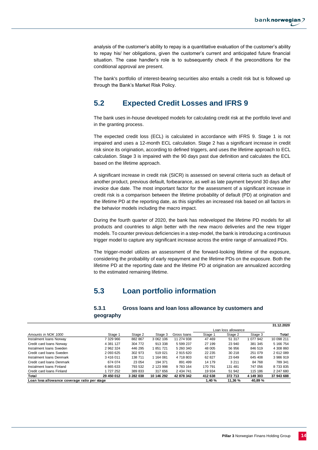analysis of the customer's ability to repay is a quantitative evaluation of the customer's ability to repay his/ her obligations, given the customer's current and anticipated future financial situation. The case handler's role is to subsequently check if the preconditions for the conditional approval are present.

The bank's portfolio of interest-bearing securities also entails a credit risk but is followed up through the Bank's Market Risk Policy.

### <span id="page-14-0"></span>**5.2 Expected Credit Losses and IFRS 9**

The bank uses in-house developed models for calculating credit risk at the portfolio level and in the granting process.

The expected credit loss (ECL) is calculated in accordance with IFRS 9. Stage 1 is not impaired and uses a 12-month ECL calculation. Stage 2 has a significant increase in credit risk since its origination, according to defined triggers, and uses the lifetime approach to ECL calculation. Stage 3 is impaired with the 90 days past due definition and calculates the ECL based on the lifetime approach.

A significant increase in credit risk (SICR) is assessed on several criteria such as default of another product, previous default, forbearance, as well as late payment beyond 30 days after invoice due date. The most important factor for the assessment of a significant increase in credit risk is a comparison between the lifetime probability of default (PD) at origination and the lifetime PD at the reporting date, as this signifies an increased risk based on all factors in the behavior models including the macro impact.

During the fourth quarter of 2020, the bank has redeveloped the lifetime PD models for all products and countries to align better with the new macro deliveries and the new trigger models. To counter previous deficiencies in a step-model, the bank is introducing a continuous trigger model to capture any significant increase across the entire range of annualized PDs.

The trigger-model utilizes an assessment of the forward-looking lifetime of the exposure, considering the probability of early repayment and the lifetime PDs on the exposure. Both the lifetime PD at the reporting date and the lifetime PD at origination are annualized according to the estimated remaining lifetime.

### **5.3 Loan portfolio information**

#### **5.3.1 Gross loans and loan loss allowance by customers and geography**

<span id="page-14-1"></span>

|                                              |            |           |            |             |         |                     |           | 31.12.2020 |
|----------------------------------------------|------------|-----------|------------|-------------|---------|---------------------|-----------|------------|
|                                              |            |           |            |             |         | Loan loss allowance |           |            |
| Amounts in NOK 1000                          | Stage 1    | Stage 2   | Stage 3    | Gross Ioans | Stage 1 | Stage 2             | Stage 3   | Total      |
| Instalment Ioans Norway                      | 7 329 966  | 882 867   | 3 062 106  | 11 274 938  | 47 469  | 51 317              | 1 077 942 | 10 098 211 |
| Credit card loans Norway                     | 4 381 127  | 304 772   | 913 338    | 5 599 237   | 27 199  | 23 940              | 381 345   | 5 166 754  |
| Instalment Ioans Sweden                      | 2 962 324  | 446 295   | 851 721    | 5 260 340   | 48 005  | 56 956              | 846 519   | 4 308 860  |
| Credit card loans Sweden                     | 2 093 625  | 302 973   | 519 021    | 2915620     | 22 235  | 30 218              | 251 079   | 2 612 089  |
| Instalment Ioans Denmark                     | 3416011    | 138 711   | 1 164 081  | 4 718 803   | 62 827  | 23 649              | 645 408   | 3 986 919  |
| Credit card loans Denmark                    | 674 074    | 23 054    | 194 371    | 891 499     | 14 179  | 3 2 1 1             | 84 768    | 789 341    |
| Instalment Ioans Finland                     | 6865633    | 793 532   | 2 123 998  | 9 783 164   | 170 791 | 131 481             | 747 056   | 8 733 835  |
| Credit card loans Finland                    | 727 252    | 389 833   | 317 656    | 2 434 741   | 19 934  | 51 942              | 115 186   | 2 247 680  |
| Total                                        | 29 450 012 | 3 282 038 | 10 146 292 | 42 878 342  | 412 638 | 372 713             | 4 149 303 | 37 943 688 |
| Loan loss allowance coverage ratio per stage |            |           |            |             | 1.40%   | 11.36 %             | 40,89 %   |            |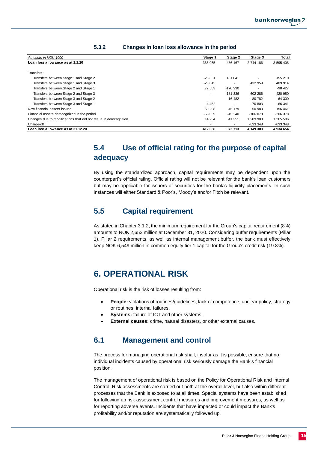| Amounts in NOK 1000                                               |                |                                                                                                                                                                                                                                                                                                                                                                                                                                                                                                                                                  | Stage 1                             | Stage 2    | Stage 3               | Total                 |
|-------------------------------------------------------------------|----------------|--------------------------------------------------------------------------------------------------------------------------------------------------------------------------------------------------------------------------------------------------------------------------------------------------------------------------------------------------------------------------------------------------------------------------------------------------------------------------------------------------------------------------------------------------|-------------------------------------|------------|-----------------------|-----------------------|
| Loan loss allowance as at 1.1.20                                  |                |                                                                                                                                                                                                                                                                                                                                                                                                                                                                                                                                                  | 365 055                             | 486 167    | 2 744 186             | 3 595 408             |
|                                                                   |                |                                                                                                                                                                                                                                                                                                                                                                                                                                                                                                                                                  |                                     |            |                       |                       |
| Transfers:                                                        |                |                                                                                                                                                                                                                                                                                                                                                                                                                                                                                                                                                  |                                     |            |                       |                       |
| Transfers between Stage 1 and Stage 2                             |                |                                                                                                                                                                                                                                                                                                                                                                                                                                                                                                                                                  | $-25831$                            | 181 041    |                       | 155 210               |
| Transfers between Stage 1 and Stage 3                             |                |                                                                                                                                                                                                                                                                                                                                                                                                                                                                                                                                                  | $-23045$                            | $\sim$     | 432 959               | 409 914               |
| Transfers between Stage 2 and Stage 1                             |                |                                                                                                                                                                                                                                                                                                                                                                                                                                                                                                                                                  | 72 503                              | $-170.930$ | $\sim$                | -98 427               |
| Transfers between Stage 2 and Stage 3                             |                |                                                                                                                                                                                                                                                                                                                                                                                                                                                                                                                                                  | $\blacksquare$                      | -181 336   | 602 286               | 420 950               |
| Transfers between Stage 3 and Stage 2                             |                |                                                                                                                                                                                                                                                                                                                                                                                                                                                                                                                                                  | $\sim$                              | 16 482     | -80 782               | $-64300$              |
| Transfers between Stage 3 and Stage 1                             |                |                                                                                                                                                                                                                                                                                                                                                                                                                                                                                                                                                  | 4 4 6 2                             | $\sim$     | -70 803               | $-66341$              |
| New financial assets issued                                       |                |                                                                                                                                                                                                                                                                                                                                                                                                                                                                                                                                                  | 60 298                              | 45 179     | 50 983                | 156 461               |
| Financial assets derecognized in the period                       |                |                                                                                                                                                                                                                                                                                                                                                                                                                                                                                                                                                  | -55 059                             | -45 240    | $-106078$             | -206 378              |
| Changes due to modifications that did not result in derecognition |                |                                                                                                                                                                                                                                                                                                                                                                                                                                                                                                                                                  | 14 254                              | 41 351     | 1 209 900             | 1 265 506             |
| Charge-off<br>Loan loss allowance as at 31.12.20                  |                |                                                                                                                                                                                                                                                                                                                                                                                                                                                                                                                                                  | $\overline{\phantom{a}}$<br>412 638 | 372 713    | -633 348<br>4 149 303 | -633 348<br>4 934 654 |
|                                                                   |                |                                                                                                                                                                                                                                                                                                                                                                                                                                                                                                                                                  |                                     |            |                       |                       |
|                                                                   | 5.4            | Use of official rating for the purpose of capital                                                                                                                                                                                                                                                                                                                                                                                                                                                                                                |                                     |            |                       |                       |
|                                                                   | adequacy       |                                                                                                                                                                                                                                                                                                                                                                                                                                                                                                                                                  |                                     |            |                       |                       |
|                                                                   |                | By using the standardized approach, capital requirements may be dependent upon the<br>counterpart's official rating. Official rating will not be relevant for the bank's loan customers<br>but may be applicable for issuers of securities for the bank's liquidity placements. In such<br>instances will either Standard & Poor's, Moody's and/or Fitch be relevant.                                                                                                                                                                            |                                     |            |                       |                       |
|                                                                   | 5.5            | <b>Capital requirement</b>                                                                                                                                                                                                                                                                                                                                                                                                                                                                                                                       |                                     |            |                       |                       |
|                                                                   |                | As stated in Chapter 3.1.2, the minimum requirement for the Group's capital requirement (8%)<br>amounts to NOK 2,653 million at December 31, 2020. Considering buffer requirements (Pillar<br>1), Pillar 2 requirements, as well as internal management buffer, the bank must effectively<br>keep NOK 6,549 million in common equity tier 1 capital for the Group's credit risk (19.8%).                                                                                                                                                         |                                     |            |                       |                       |
|                                                                   |                | <b>6. OPERATIONAL RISK</b>                                                                                                                                                                                                                                                                                                                                                                                                                                                                                                                       |                                     |            |                       |                       |
|                                                                   |                | Operational risk is the risk of losses resulting from:                                                                                                                                                                                                                                                                                                                                                                                                                                                                                           |                                     |            |                       |                       |
|                                                                   | ٠<br>$\bullet$ | People: violations of routines/guidelines, lack of competence, unclear policy, strategy<br>or routines, internal failures.<br>Systems: failure of ICT and other systems.                                                                                                                                                                                                                                                                                                                                                                         |                                     |            |                       |                       |
|                                                                   | ٠              | External causes: crime, natural disasters, or other external causes.                                                                                                                                                                                                                                                                                                                                                                                                                                                                             |                                     |            |                       |                       |
|                                                                   | 6.1            | <b>Management and control</b>                                                                                                                                                                                                                                                                                                                                                                                                                                                                                                                    |                                     |            |                       |                       |
|                                                                   | position.      | The process for managing operational risk shall, insofar as it is possible, ensure that no<br>individual incidents caused by operational risk seriously damage the Bank's financial                                                                                                                                                                                                                                                                                                                                                              |                                     |            |                       |                       |
|                                                                   |                | The management of operational risk is based on the Policy for Operational Risk and Internal<br>Control. Risk assessments are carried out both at the overall level, but also within different<br>processes that the Bank is exposed to at all times. Special systems have been established<br>for following up risk assessment control measures and improvement measures, as well as<br>for reporting adverse events. Incidents that have impacted or could impact the Bank's<br>profitability and/or reputation are systematically followed up. |                                     |            |                       |                       |

#### **5.3.2 Changes in loan loss allowance in the period**

### <span id="page-15-0"></span>**5.4 Use of official rating for the purpose of capital adequacy**

### <span id="page-15-1"></span>**5.5 Capital requirement**

## <span id="page-15-2"></span>**6. OPERATIONAL RISK**

- **People:** violations of routines/guidelines, lack of competence, unclear policy, strategy or routines, internal failures.
- **Systems:** failure of ICT and other systems.
- **External causes:** crime, natural disasters, or other external causes.

### <span id="page-15-3"></span>**6.1 Management and control**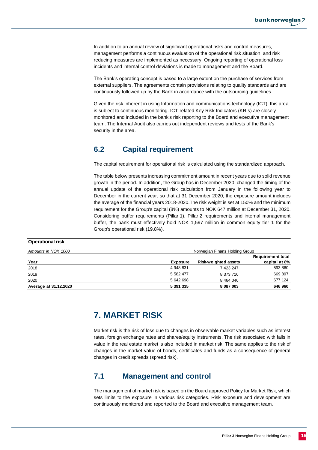In addition to an annual review of significant operational risks and control measures, management performs a continuous evaluation of the operational risk situation, and risk reducing measures are implemented as necessary. Ongoing reporting of operational loss incidents and internal control deviations is made to management and the Board.

The Bank's operating concept is based to a large extent on the purchase of services from external suppliers. The agreements contain provisions relating to quality standards and are continuously followed up by the Bank in accordance with the outsourcing guidelines.

Given the risk inherent in using Information and communications technology (ICT), this area is subject to continuous monitoring. ICT-related Key Risk Indicators (KRIs) are closely monitored and included in the bank's risk reporting to the Board and executive management team. The Internal Audit also carries out independent reviews and tests of the Bank's security in the area.

## <span id="page-16-0"></span>**6.2 Capital requirement**

The capital requirement for operational risk is calculated using the standardized approach.

The table below presents increasing commitment amount in recent years due to solid revenue growth in the period. In addition, the Group has in December 2020, changed the timing of the annual update of the operational risk calculation from January in the following year to December in the current year, so that at 31 December 2020, the exposure amount includes the average of the financial years 2018-2020.The risk weight is set at 150% and the minimum requirement for the Group's capital (8%) amounts to NOK 647 million at December 31, 2020. Considering buffer requirements (Pillar 1), Pillar 2 requirements and internal management buffer, the bank must effectively hold NOK 1,597 million in common equity tier 1 for the Group's operational risk (19.8%).

#### **Operational risk**

<span id="page-16-1"></span>

| Amounts in NOK 1000   | Norwegian Finans Holding Group |                      |                          |  |  |
|-----------------------|--------------------------------|----------------------|--------------------------|--|--|
|                       |                                |                      | <b>Requirement total</b> |  |  |
| Year                  | Exposure                       | Risk-weighted assets | capital at 8%            |  |  |
| 2018                  | 4 948 831                      | 7 423 247            | 593 860                  |  |  |
| 2019                  | 5 582 477                      | 8 373 716            | 669 897                  |  |  |
| 2020                  | 5 642 698                      | 8 4 64 0 46          | 677 124                  |  |  |
| Average at 31.12.2020 | 5 391 335                      | 8 087 003            | 646 960                  |  |  |

## **7. MARKET RISK**

Market risk is the risk of loss due to changes in observable market variables such as interest rates, foreign exchange rates and shares/equity instruments. The risk associated with falls in value in the real estate market is also included in market risk. The same applies to the risk of changes in the market value of bonds, certificates and funds as a consequence of general changes in credit spreads (spread risk).

### <span id="page-16-2"></span>**7.1 Management and control**

The management of market risk is based on the Board approved Policy for Market Risk, which sets limits to the exposure in various risk categories. Risk exposure and development are continuously monitored and reported to the Board and executive management team.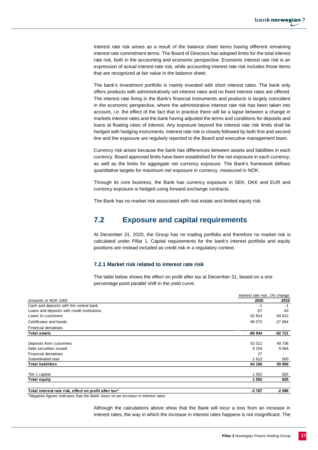Interest rate risk arises as a result of the balance sheet items having different remaining interest rate commitment terms. The Board of Directors has adopted limits for the total interest rate risk, both in the accounting and economic perspective. Economic interest rate risk is an expression of actual interest rate risk, while accounting interest rate risk includes those items that are recognized at fair value in the balance sheet.

The bank's investment portfolio is mainly invested with short interest rates. The bank only offers products with administratively set interest rates and no fixed interest rates are offered. The interest rate fixing in the Bank's financial instruments and products is largely coincident in the economic perspective, where the administrative interest rate risk has been taken into account, i.e. the effect of the fact that in practice there will be a lapse between a change in markets interest rates and the bank having adjusted the terms and conditions for deposits and loans at floating rates of interest. Any exposure beyond the interest rate risk limits shall be hedged with hedging instruments. Interest rate risk is closely followed by both first and second line and the exposure are regularly reported to the Board and executive management team.

Currency risk arises because the bank has differences between assets and liabilities in each currency. Board approved limits have been established for the net exposure in each currency, as well as the limits for aggregate net currency exposure. The Bank's framework defines quantitative targets for maximum net exposure in currency, measured in NOK.

Through its core business, the Bank has currency exposure in SEK, DKK and EUR and currency exposure is hedged using forward exchange contracts.

The Bank has no market risk associated with real estate and limited equity risk.

### <span id="page-17-0"></span>**7.2 Exposure and capital requirements**

At December 31, 2020, the Group has no trading portfolio and therefore no market risk is calculated under Pillar 1. Capital requirements for the bank's interest portfolio and equity positions are instead included as credit risk in a regulatory context.

#### **7.2.1 Market risk related to interest rate risk**

The table below shows the effect on profit after tax at December 31, based on a one percentage point parallel shift in the yield curve.

|                                                                                                   | Interest rate risk, 1% change |          |
|---------------------------------------------------------------------------------------------------|-------------------------------|----------|
| Amounts in NOK 1000                                                                               | 2020                          | 2019     |
| Cash and deposits with the central bank                                                           | -1                            | -1       |
| Loans and deposits with credit institutions                                                       | $-57$                         | -43      |
| Loans to customers                                                                                | $-32814$                      | -34 812  |
| Certificates and bonds                                                                            | $-36072$                      | $-27864$ |
| <b>Financial derivatives</b>                                                                      |                               |          |
| <b>Total assets</b>                                                                               | $-68944$                      | -62 721  |
|                                                                                                   |                               |          |
| Deposits from customers                                                                           | 53 311                        | 49 736   |
| Debt securities issued                                                                            | 9 1 5 4                       | 9 5 64   |
| <b>Financial derivatives</b>                                                                      | 27                            |          |
| Subordinated Ioan                                                                                 | 1 6 1 3                       | 500      |
| <b>Total liabilities</b>                                                                          | 64 106                        | 59 800   |
| Tier 1 capital                                                                                    | 1 0 5 2                       | 825      |
| Total equity                                                                                      | 1 0 5 2                       | 825      |
| Total interest rate risk, effect on profit after tax*                                             | $-3787$                       | -2 096   |
| *Negative figures indicates that the Bank loses on an increase in interest rates.                 |                               |          |
| Although the calculations above show that the Bank will incur a loss from an increase in          |                               |          |
| interest rates, the way in which the increase in interest rates happens is not insignificant. The |                               |          |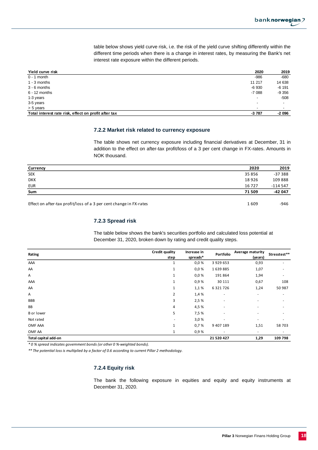**Yield curve risk 2020 2019** 0 - 1 month -986 - 680 - 680 - 680 - 680 - 680 - 680 - 680 - 691 - 692 - 693 - 693 - 693 - 693 - 693 - 693 - 6 1 - 3 months 11 217 14 638 3 - 6 months -6 930 -6 191 6 - 12 months -7 088 -9 356 1-3 years - -508 3-5 years - - > 5 years - - **Total interest rate risk, effect on profit after tax and a set of a set of a few sets of a set of a few sets of a few sets of a few sets of a few sets of a few sets of a few sets of a few sets of a few sets of a few sets** 

table below shows yield curve risk, i.e. the risk of the yield curve shifting differently within the different time periods when there is a change in interest rates, by measuring the Bank's net interest rate exposure within the different periods.

#### **7.2.2 Market risk related to currency exposure**

The table shows net currency exposure including financial derivatives at December, 31 in addition to the effect on after-tax profit/loss of a 3 per cent change in FX-rates. Amounts in NOK thousand.

| Currency                                                           | 2020   | 2019      |
|--------------------------------------------------------------------|--------|-----------|
| <b>SEK</b>                                                         | 35 856 | $-37388$  |
| <b>DKK</b>                                                         | 18926  | 109888    |
| EUR                                                                | 16727  | $-114547$ |
| Sum                                                                | 71 509 | -42 047   |
|                                                                    |        |           |
| Effect on after-tax profit/loss of a 3 per cent change in FX-rates | 1609   | $-946$    |

#### **7.2.3 Spread risk**

The table below shows the bank's securities portfolio and calculated loss potential at December 31, 2020, broken down by rating and credit quality steps.

| Rating               | Credit quality | Increase in | Portfolio     | Average maturity         | Stresstest**             |  |
|----------------------|----------------|-------------|---------------|--------------------------|--------------------------|--|
|                      | step           | spreads*    |               | (years)                  |                          |  |
| AAA                  |                | 0.0 %       | 3 9 2 9 6 5 3 | 0,93                     |                          |  |
| AA                   | $\mathbf{1}$   | 0,0%        | 1639885       | 1,07                     |                          |  |
| A                    | $\mathbf{1}$   | 0,0%        | 191864        | 1,94                     |                          |  |
| AAA                  | $\mathbf{1}$   | 0,9%        | 30 111        | 0,67                     | 108                      |  |
| AA                   | $\mathbf{1}$   | 1,1 %       | 6321726       | 1,24                     | 50 987                   |  |
| Α                    | 2              | 1,4 %       | $\sim$        | ٠                        | ٠                        |  |
| <b>BBB</b>           | 3              | 2,5 %       | ٠             | ٠                        |                          |  |
| <b>BB</b>            | 4              | 4,5 %       | ٠             | $\overline{\phantom{a}}$ |                          |  |
| <b>B</b> or lower    | 5              | 7,5 %       | ٠             | $\overline{\phantom{a}}$ |                          |  |
| Not rated            |                | 3,0%        |               | $\overline{\phantom{a}}$ |                          |  |
| OMF AAA              | $\mathbf{1}$   | 0,7%        | 9 407 189     | 1,51                     | 58 703                   |  |
| OMF AA               | 1              | 0,9%        |               | ٠                        | $\overline{\phantom{a}}$ |  |
| Total capital add-on |                |             | 21 520 427    | 1,29                     | 109 798                  |  |

*\* 0 % spread indicates government bonds (or other 0 %-weighted bonds).*

*\*\* The potential loss is multiplied by a factor of 0.6 according to current Pillar 2 methodology.*

#### **7.2.4 Equity risk**

The bank the following exposure in equities and equity and equity instruments at December 31, 2020.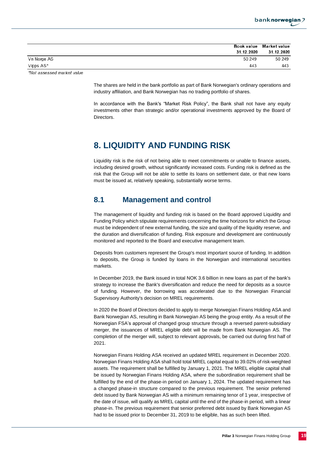

|                            |            | Book value Market value |
|----------------------------|------------|-------------------------|
|                            | 31.12.2020 | 31.12.2020              |
| Vn Norge AS                | 50 249     | 50 249                  |
| Vipps AS*                  | 443        | 443                     |
| *Not assessed market value |            |                         |

The shares are held in the bank portfolio as part of Bank Norwegian's ordinary operations and industry affiliation, and Bank Norwegian has no trading portfolio of shares.

In accordance with the Bank's "Market Risk Policy", the Bank shall not have any equity investments other than strategic and/or operational investments approved by the Board of Directors.

## <span id="page-19-0"></span>**8. LIQUIDITY AND FUNDING RISK**

Liquidity risk is the risk of not being able to meet commitments or unable to finance assets, including desired growth, without significantly increased costs. Funding risk is defined as the risk that the Group will not be able to settle its loans on settlement date, or that new loans must be issued at, relatively speaking, substantially worse terms.

### <span id="page-19-1"></span>**8.1 Management and control**

The management of liquidity and funding risk is based on the Board approved Liquidity and Funding Policy which stipulate requirements concerning the time horizons for which the Group must be independent of new external funding, the size and quality of the liquidity reserve, and the duration and diversification of funding. Risk exposure and development are continuously monitored and reported to the Board and executive management team.

Deposits from customers represent the Group's most important source of funding. In addition to deposits, the Group is funded by loans in the Norwegian and international securities markets.

In December 2019, the Bank issued in total NOK 3.6 billion in new loans as part of the bank's strategy to increase the Bank's diversification and reduce the need for deposits as a source of funding. However, the borrowing was accelerated due to the Norwegian Financial Supervisory Authority's decision on MREL requirements.

In 2020 the Board of Directors decided to apply to merge Norwegian Finans Holding ASA and Bank Norwegian AS, resulting in Bank Norwegian AS being the group entity. As a result of the Norwegian FSA's approval of changed group structure through a reversed parent-subsidiary merger, the issuances of MREL eligible debt will be made from Bank Norwegian AS. The completion of the merger will, subject to relevant approvals, be carried out during first half of 2021.

Norwegian Finans Holding ASA received an updated MREL requirement in December 2020. Norwegian Finans Holding ASA shall hold total MREL capital equal to 39.02% of risk-weighted assets. The requirement shall be fulfilled by January 1, 2021. The MREL eligible capital shall be issued by Norwegian Finans Holding ASA, where the subordination requirement shall be fulfilled by the end of the phase-in period on January 1, 2024. The updated requirement has a changed phase-in structure compared to the previous requirement. The senior preferred debt issued by Bank Norwegian AS with a minimum remaining tenor of 1 year, irrespective of the date of issue, will qualify as MREL capital until the end of the phase-in period, with a linear phase-in. The previous requirement that senior preferred debt issued by Bank Norwegian AS had to be issued prior to December 31, 2019 to be eligible, has as such been lifted.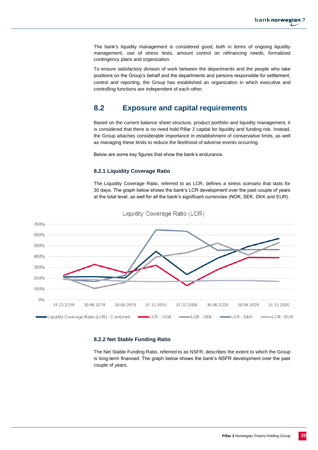The bank's liquidity management is considered good, both in terms of ongoing liquidity management, use of stress tests, amount control on refinancing needs, formalized contingency plans and organization.

To ensure satisfactory division of work between the departments and the people who take positions on the Group's behalf and the departments and persons responsible for settlement, control and reporting, the Group has established an organization in which executive and controlling functions are independent of each other.

### <span id="page-20-0"></span>**8.2 Exposure and capital requirements**

Based on the current balance sheet structure, product portfolio and liquidity management, it is considered that there is no need hold Pillar 2 capital for liquidity and funding risk. Instead, the Group attaches considerable importance in establishment of conservative limits, as well as managing these limits to reduce the likelihood of adverse events occurring.

Below are some key figures that show the bank's endurance.

#### **8.2.1 Liquidity Coverage Ratio**

The Liquidity Coverage Ratio, referred to as LCR, defines a stress scenario that lasts for 30 days. The graph below shows the bank's LCR development over the past couple of years at the total level, as well for all the bank's significant currencies (NOK, SEK, DKK and EUR).



Liquidity Coverage Ratio (LCR)

#### **8.2.2 Net Stable Funding Ratio**

The Net Stable Funding Ratio, referred to as NSFR, describes the extent to which the Group is long-term financed. The graph below shows the bank's NSFR development over the past couple of years.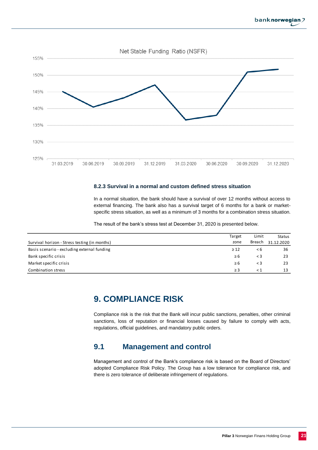



#### **8.2.3 Survival in a normal and custom defined stress situation**

In a normal situation, the bank should have a survival of over 12 months without access to external financing. The bank also has a survival target of 6 months for a bank or marketspecific stress situation, as well as a minimum of 3 months for a combination stress situation.

The result of the bank's stress test at December 31, 2020 is presented below.

<span id="page-21-0"></span>

|                                               | Target    | Limit    | Status     |
|-----------------------------------------------|-----------|----------|------------|
| Survival horizon - Stress testing (in months) | zone      | Breach   | 31.12.2020 |
| Basis scenario - excluding external funding   | $\geq$ 12 | $\leq 6$ | 36         |
| Bank specific crisis                          | $\geq 6$  | $\leq$ 3 | 23         |
| Market specific crisis                        | $\geq 6$  | $\leq$ 3 | 23         |
| Combination stress                            | $\geq$ 3  | $\leq 1$ | 13         |

## **9. COMPLIANCE RISK**

Compliance risk is the risk that the Bank will incur public sanctions, penalties, other criminal sanctions, loss of reputation or financial losses caused by failure to comply with acts, regulations, official guidelines, and mandatory public orders.

### <span id="page-21-1"></span>**9.1 Management and control**

Management and control of the Bank's compliance risk is based on the Board of Directors' adopted Compliance Risk Policy. The Group has a low tolerance for compliance risk, and there is zero tolerance of deliberate infringement of regulations.